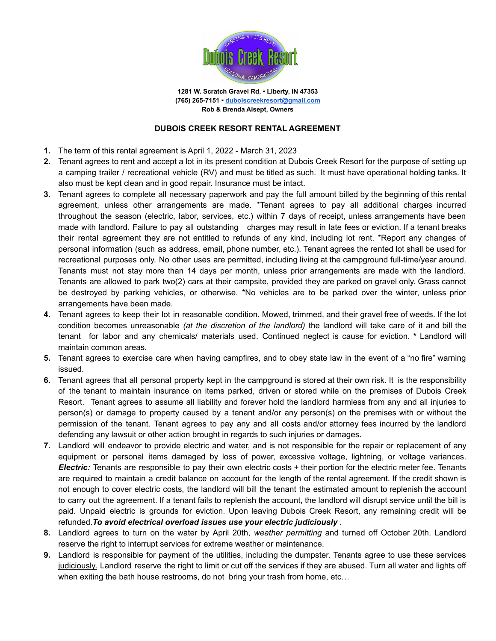

**1281 W. Scratch Gravel Rd. ▪ Liberty, IN 47353 (765) 265-7151 ▪ [duboiscreekresort@gmail.com](mailto:duboiscreekresort@gmail.com) Rob & Brenda Alsept, Owners**

## **DUBOIS CREEK RESORT RENTAL AGREEMENT**

- **1.** The term of this rental agreement is April 1, 2022 March 31, 2023
- **2.** Tenant agrees to rent and accept a lot in its present condition at Dubois Creek Resort for the purpose of setting up a camping trailer / recreational vehicle (RV) and must be titled as such. It must have operational holding tanks. It also must be kept clean and in good repair. Insurance must be intact.
- **3.** Tenant agrees to complete all necessary paperwork and pay the full amount billed by the beginning of this rental agreement, unless other arrangements are made. \*Tenant agrees to pay all additional charges incurred throughout the season (electric, labor, services, etc.) within 7 days of receipt, unless arrangements have been made with landlord. Failure to pay all outstanding charges may result in late fees or eviction. If a tenant breaks their rental agreement they are not entitled to refunds of any kind, including lot rent. \*Report any changes of personal information (such as address, email, phone number, etc.). Tenant agrees the rented lot shall be used for recreational purposes only. No other uses are permitted, including living at the campground full-time/year around. Tenants must not stay more than 14 days per month, unless prior arrangements are made with the landlord. Tenants are allowed to park two(2) cars at their campsite, provided they are parked on gravel only. Grass cannot be destroyed by parking vehicles, or otherwise. \*No vehicles are to be parked over the winter, unless prior arrangements have been made.
- **4.** Tenant agrees to keep their lot in reasonable condition. Mowed, trimmed, and their gravel free of weeds. If the lot condition becomes unreasonable *(at the discretion of the landlord)* the landlord will take care of it and bill the tenant for labor and any chemicals/ materials used. Continued neglect is cause for eviction. **\*** Landlord will maintain common areas.
- **5.** Tenant agrees to exercise care when having campfires, and to obey state law in the event of a "no fire" warning issued.
- **6.** Tenant agrees that all personal property kept in the campground is stored at their own risk. It is the responsibility of the tenant to maintain insurance on items parked, driven or stored while on the premises of Dubois Creek Resort. Tenant agrees to assume all liability and forever hold the landlord harmless from any and all injuries to person(s) or damage to property caused by a tenant and/or any person(s) on the premises with or without the permission of the tenant. Tenant agrees to pay any and all costs and/or attorney fees incurred by the landlord defending any lawsuit or other action brought in regards to such injuries or damages.
- **7.** Landlord will endeavor to provide electric and water, and is not responsible for the repair or replacement of any equipment or personal items damaged by loss of power, excessive voltage, lightning, or voltage variances. *Electric:* Tenants are responsible to pay their own electric costs + their portion for the electric meter fee. Tenants are required to maintain a credit balance on account for the length of the rental agreement. If the credit shown is not enough to cover electric costs, the landlord will bill the tenant the estimated amount to replenish the account to carry out the agreement. If a tenant fails to replenish the account, the landlord will disrupt service until the bill is paid. Unpaid electric is grounds for eviction. Upon leaving Dubois Creek Resort, any remaining credit will be refunded.*To avoid electrical overload issues use your electric judiciously* .
- **8.** Landlord agrees to turn on the water by April 20th, *weather permitting* and turned off October 20th. Landlord reserve the right to interrupt services for extreme weather or maintenance.
- **9.** Landlord is responsible for payment of the utilities, including the dumpster. Tenants agree to use these services judiciously. Landlord reserve the right to limit or cut off the services if they are abused. Turn all water and lights off when exiting the bath house restrooms, do not bring your trash from home, etc...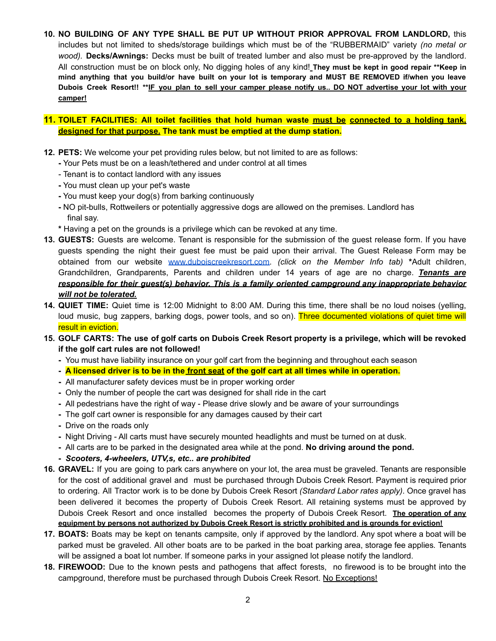**10. NO BUILDING OF ANY TYPE SHALL BE PUT UP WITHOUT PRIOR APPROVAL FROM LANDLORD,** this includes but not limited to sheds/storage buildings which must be of the "RUBBERMAID" variety *(no metal or wood).* **Decks/Awnings:** Decks must be built of treated lumber and also must be pre-approved by the landlord. All construction must be on block only, No digging holes of any kind! **They must be kept in good repair \*\*Keep in** mind anything that you build/or have built on your lot is temporary and MUST BE REMOVED if/when you leave Dubois Creek Resort!! \*\*IF you plan to sell your camper please notify us.. DO NOT advertise your lot with your **camper!**

## **11. TOILET FACILITIES: All toilet facilities that hold human waste must be connected to a holding tank, designed for that purpose. The tank must be emptied at the dump station.**

- **12. PETS:** We welcome your pet providing rules below, but not limited to are as follows:
	- **-** Your Pets must be on a leash/tethered and under control at all times
	- Tenant is to contact landlord with any issues
	- **-** You must clean up your pet's waste
	- **-** You must keep your dog(s) from barking continuously
	- **-** NO pit-bulls, Rottweilers or potentially aggressive dogs are allowed on the premises. Landlord has final say.
	- **\*** Having a pet on the grounds is a privilege which can be revoked at any time.
- **13. GUESTS:** Guests are welcome. Tenant is responsible for the submission of the guest release form. If you have guests spending the night their guest fee must be paid upon their arrival. The Guest Release Form may be obtained from our website [www.duboiscreekresort.com.](http://www.duboiscreekresort.com) *(click on the Member Info tab)* **\***Adult children, Grandchildren, Grandparents, Parents and children under 14 years of age are no charge. *Tenants are responsible for their guest(s) behavior. This is a family oriented campground any inappropriate behavior will not be tolerated.*
- **14. QUIET TIME:** Quiet time is 12:00 Midnight to 8:00 AM. During this time, there shall be no loud noises (yelling, loud music, bug zappers, barking dogs, power tools, and so on). Three documented violations of quiet time will result in eviction.

## 15. GOLF CARTS: The use of golf carts on Dubois Creek Resort property is a privilege, which will be revoked **if the golf cart rules are not followed!**

- **-** You must have liability insurance on your golf cart from the beginning and throughout each season
- A licensed driver is to be in the front seat of the golf cart at all times while in operation.
- **-** All manufacturer safety devices must be in proper working order
- **-** Only the number of people the cart was designed for shall ride in the cart
- **-** All pedestrians have the right of way Please drive slowly and be aware of your surroundings
- **-** The golf cart owner is responsible for any damages caused by their cart
- **-** Drive on the roads only
- **-** Night Driving All carts must have securely mounted headlights and must be turned on at dusk.
- **-** All carts are to be parked in the designated area while at the pond. **No driving around the pond.**
- **-** *Scooters, 4-wheelers, UTV,s, etc.. are prohibited*
- **16. GRAVEL:** If you are going to park cars anywhere on your lot, the area must be graveled. Tenants are responsible for the cost of additional gravel and must be purchased through Dubois Creek Resort. Payment is required prior to ordering. All Tractor work is to be done by Dubois Creek Resort *(Standard Labor rates apply)*. Once gravel has been delivered it becomes the property of Dubois Creek Resort. All retaining systems must be approved by Dubois Creek Resort and once installed becomes the property of Dubois Creek Resort. **The operation of any equipment by persons not authorized by Dubois Creek Resort is strictly prohibited and is grounds for eviction!**
- **17. BOATS:** Boats may be kept on tenants campsite, only if approved by the landlord. Any spot where a boat will be parked must be graveled. All other boats are to be parked in the boat parking area, storage fee applies*.* Tenants will be assigned a boat lot number. If someone parks in your assigned lot please notify the landlord.
- **18. FIREWOOD:** Due to the known pests and pathogens that affect forests, no firewood is to be brought into the campground, therefore must be purchased through Dubois Creek Resort. No Exceptions!